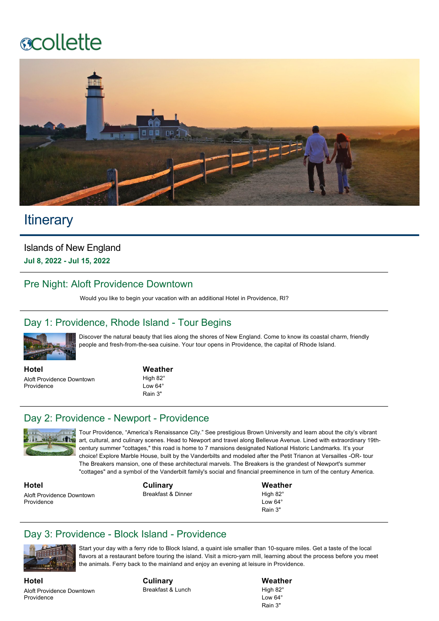# **ecollette**



## **Itinerary**

Islands of New England **Jul 8, 2022 Jul 15, 2022**

#### Pre Night: Aloft Providence Downtown

Would you like to begin your vacation with an additional Hotel in Providence, RI?

#### Day 1: Providence, Rhode Island - Tour Begins



Discover the natural beauty that lies along the shores of New England. Come to know its coastal charm, friendly people and fresh-from-the-sea cuisine. Your tour opens in Providence, the capital of Rhode Island.

**Hotel** Aloft Providence Downtown **Providence** 

#### **Weather**

High 82° Low 64<sup>°</sup> Rain 3"

#### Day 2: Providence - Newport - Providence



Tour Providence, "America's Renaissance City." See prestigious Brown University and learn about the city's vibrant art, cultural, and culinary scenes. Head to Newport and travel along Bellevue Avenue. Lined with extraordinary 19thcentury summer "cottages," this road is home to 7 mansions designated National Historic Landmarks. It's your choice! Explore Marble House, built by the Vanderbilts and modeled after the Petit Trianon at Versailles -OR- tour The Breakers mansion, one of these architectural marvels. The Breakers is the grandest of Newport's summer "cottages" and a symbol of the Vanderbilt family's social and financial preeminence in turn of the century America.

**Hotel** Aloft Providence Downtown Providence

**Culinary** Breakfast & Dinner **Weather** High 82<sup>°</sup>  $Low 64<sup>c</sup>$ Rain 3"

#### Day 3: Providence - Block Island - Providence



Start your day with a ferry ride to Block Island, a quaint isle smaller than 10-square miles. Get a taste of the local flavors at a restaurant before touring the island. Visit a micro-yarn mill, learning about the process before you meet the animals. Ferry back to the mainland and enjoy an evening at leisure in Providence.

**Hotel** Aloft Providence Downtown **Providence** 

**Culinary** Breakfast & Lunch **Weather** High 82°  $L$ ow 64 $^{\circ}$ Rain 3"